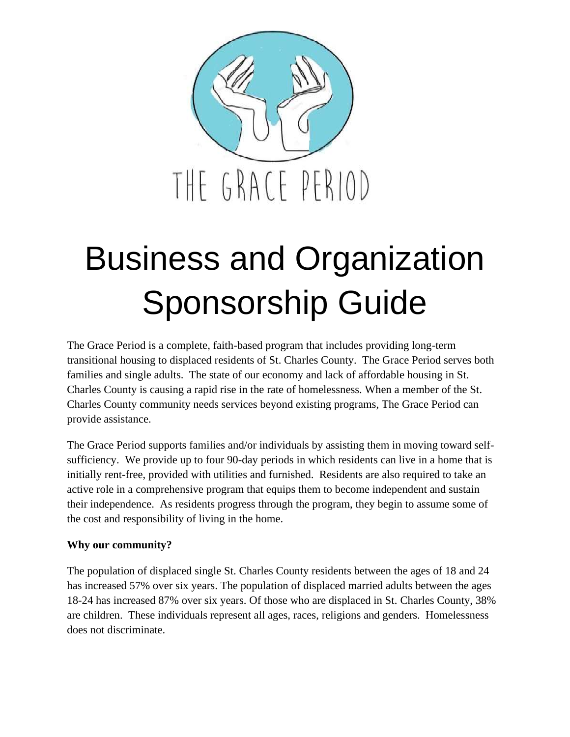

# Business and Organization Sponsorship Guide

The Grace Period is a complete, faith-based program that includes providing long-term transitional housing to displaced residents of St. Charles County. The Grace Period serves both families and single adults. The state of our economy and lack of affordable housing in St. Charles County is causing a rapid rise in the rate of homelessness. When a member of the St. Charles County community needs services beyond existing programs, The Grace Period can provide assistance.

The Grace Period supports families and/or individuals by assisting them in moving toward selfsufficiency. We provide up to four 90-day periods in which residents can live in a home that is initially rent-free, provided with utilities and furnished. Residents are also required to take an active role in a comprehensive program that equips them to become independent and sustain their independence. As residents progress through the program, they begin to assume some of the cost and responsibility of living in the home.

## **Why our community?**

The population of displaced single St. Charles County residents between the ages of 18 and 24 has increased 57% over six years. The population of displaced married adults between the ages 18-24 has increased 87% over six years. Of those who are displaced in St. Charles County, 38% are children. These individuals represent all ages, races, religions and genders. Homelessness does not discriminate.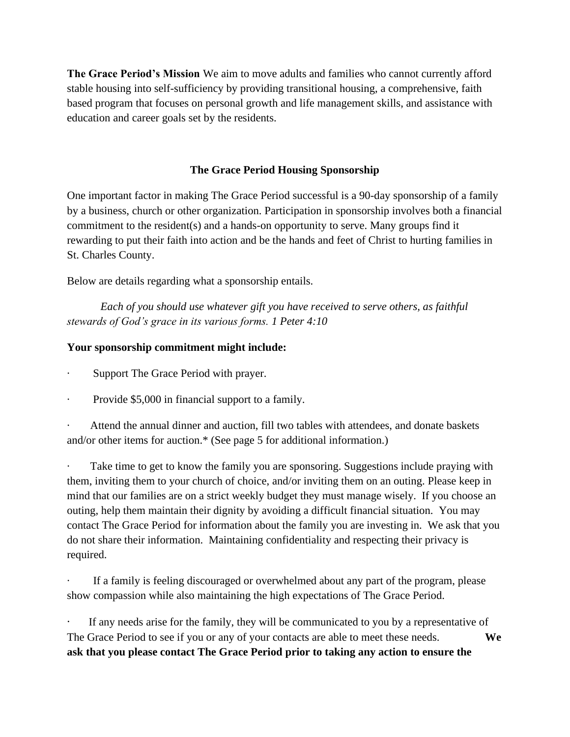**The Grace Period's Mission** We aim to move adults and families who cannot currently afford stable housing into self-sufficiency by providing transitional housing, a comprehensive, faith based program that focuses on personal growth and life management skills, and assistance with education and career goals set by the residents.

## **The Grace Period Housing Sponsorship**

One important factor in making The Grace Period successful is a 90-day sponsorship of a family by a business, church or other organization. Participation in sponsorship involves both a financial commitment to the resident(s) and a hands-on opportunity to serve. Many groups find it rewarding to put their faith into action and be the hands and feet of Christ to hurting families in St. Charles County.

Below are details regarding what a sponsorship entails.

 *Each of you should use whatever gift you have received to serve others, as faithful stewards of God's grace in its various forms. 1 Peter 4:10*

## **Your sponsorship commitment might include:**

- Support The Grace Period with prayer.
- · Provide \$5,000 in financial support to a family.

Attend the annual dinner and auction, fill two tables with attendees, and donate baskets and/or other items for auction.\* (See page 5 for additional information.)

Take time to get to know the family you are sponsoring. Suggestions include praying with them, inviting them to your church of choice, and/or inviting them on an outing. Please keep in mind that our families are on a strict weekly budget they must manage wisely. If you choose an outing, help them maintain their dignity by avoiding a difficult financial situation. You may contact The Grace Period for information about the family you are investing in. We ask that you do not share their information. Maintaining confidentiality and respecting their privacy is required.

If a family is feeling discouraged or overwhelmed about any part of the program, please show compassion while also maintaining the high expectations of The Grace Period.

If any needs arise for the family, they will be communicated to you by a representative of The Grace Period to see if you or any of your contacts are able to meet these needs. **We ask that you please contact The Grace Period prior to taking any action to ensure the**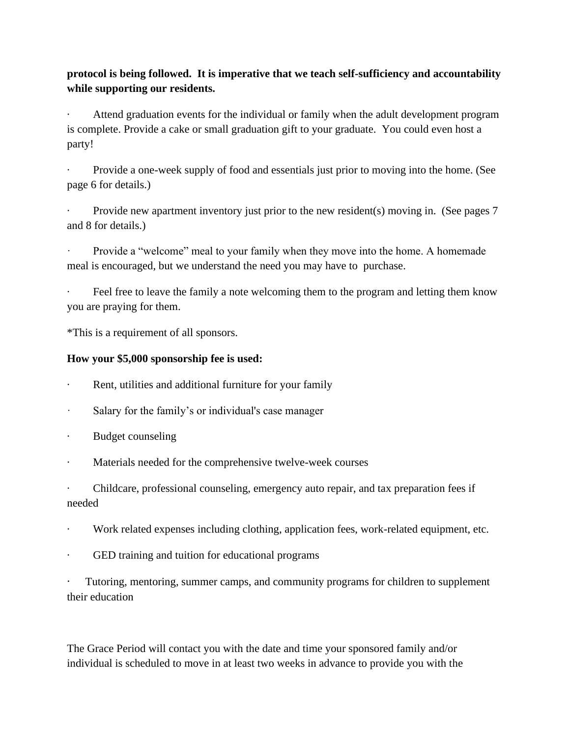## **protocol is being followed. It is imperative that we teach self-sufficiency and accountability while supporting our residents.**

· Attend graduation events for the individual or family when the adult development program is complete. Provide a cake or small graduation gift to your graduate. You could even host a party!

Provide a one-week supply of food and essentials just prior to moving into the home. (See page 6 for details.)

Provide new apartment inventory just prior to the new resident(s) moving in. (See pages 7 and 8 for details.)

Provide a "welcome" meal to your family when they move into the home. A homemade meal is encouraged, but we understand the need you may have to purchase.

Feel free to leave the family a note welcoming them to the program and letting them know you are praying for them.

\*This is a requirement of all sponsors.

## **How your \$5,000 sponsorship fee is used:**

- Rent, utilities and additional furniture for your family
- Salary for the family's or individual's case manager
- · Budget counseling
- · Materials needed for the comprehensive twelve-week courses

· Childcare, professional counseling, emergency auto repair, and tax preparation fees if needed

- · Work related expenses including clothing, application fees, work-related equipment, etc.
- GED training and tuition for educational programs

Tutoring, mentoring, summer camps, and community programs for children to supplement their education

The Grace Period will contact you with the date and time your sponsored family and/or individual is scheduled to move in at least two weeks in advance to provide you with the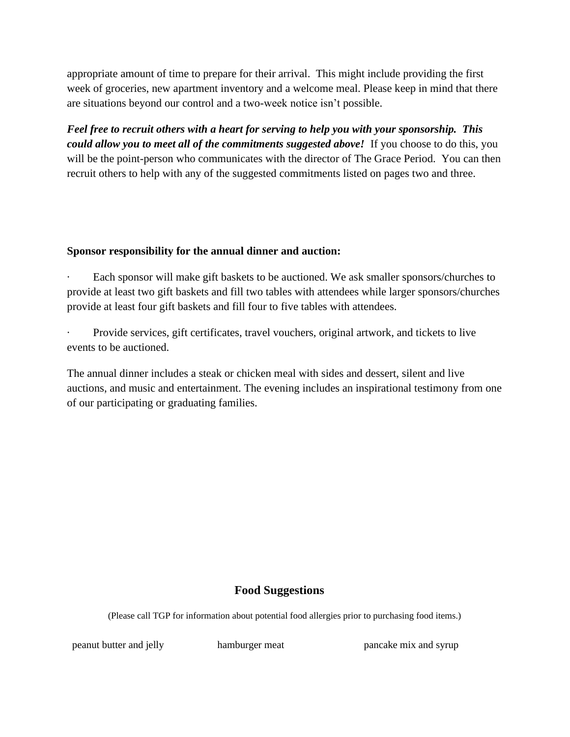appropriate amount of time to prepare for their arrival. This might include providing the first week of groceries, new apartment inventory and a welcome meal. Please keep in mind that there are situations beyond our control and a two-week notice isn't possible.

*Feel free to recruit others with a heart for serving to help you with your sponsorship. This could allow you to meet all of the commitments suggested above!* If you choose to do this, you will be the point-person who communicates with the director of The Grace Period. You can then recruit others to help with any of the suggested commitments listed on pages two and three.

#### **Sponsor responsibility for the annual dinner and auction:**

Each sponsor will make gift baskets to be auctioned. We ask smaller sponsors/churches to provide at least two gift baskets and fill two tables with attendees while larger sponsors/churches provide at least four gift baskets and fill four to five tables with attendees.

Provide services, gift certificates, travel vouchers, original artwork, and tickets to live events to be auctioned.

The annual dinner includes a steak or chicken meal with sides and dessert, silent and live auctions, and music and entertainment. The evening includes an inspirational testimony from one of our participating or graduating families.

## **Food Suggestions**

(Please call TGP for information about potential food allergies prior to purchasing food items.)

peanut butter and jelly hamburger meat pancake mix and syrup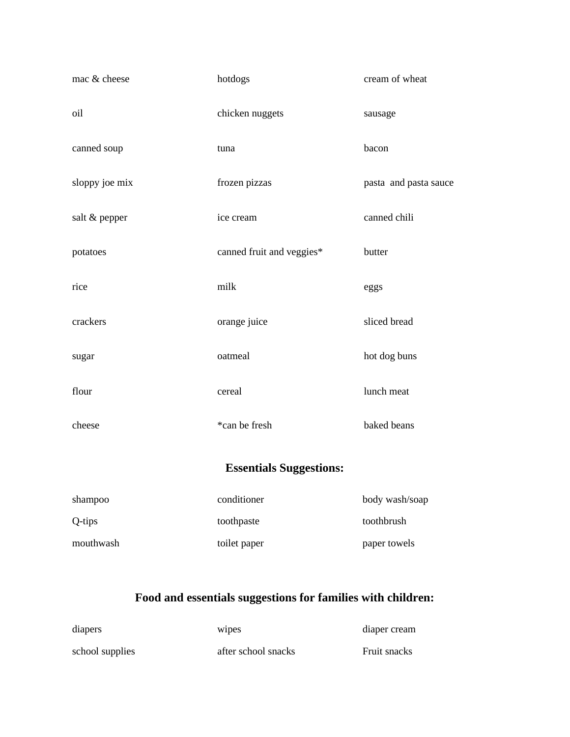| mac & cheese                   | hotdogs                   | cream of wheat        |
|--------------------------------|---------------------------|-----------------------|
| oil                            | chicken nuggets           | sausage               |
| canned soup                    | tuna                      | bacon                 |
| sloppy joe mix                 | frozen pizzas             | pasta and pasta sauce |
| salt & pepper                  | ice cream                 | canned chili          |
| potatoes                       | canned fruit and veggies* | butter                |
| rice                           | milk                      | eggs                  |
| crackers                       | orange juice              | sliced bread          |
| sugar                          | oatmeal                   | hot dog buns          |
| flour                          | cereal                    | lunch meat            |
| cheese                         | *can be fresh             | baked beans           |
| <b>Essentials Suggestions:</b> |                           |                       |
| shampoo                        | conditioner               | body wash/soap        |
| Q-tips                         | toothpaste                | toothbrush            |
| mouthwash                      | toilet paper              | paper towels          |

# **Food and essentials suggestions for families with children:**

| diapers         | wipes               | diaper cream |
|-----------------|---------------------|--------------|
| school supplies | after school snacks | Fruit snacks |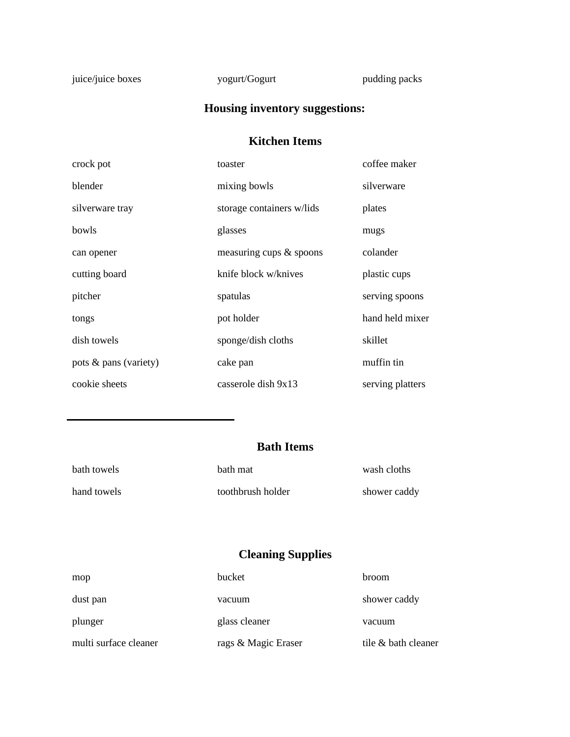juice/juice boxes yogurt/Gogurt pudding packs

# **Housing inventory suggestions:**

## **Kitchen Items**

| crock pot             | toaster                   | coffee maker     |
|-----------------------|---------------------------|------------------|
| blender               | mixing bowls              | silverware       |
| silverware tray       | storage containers w/lids | plates           |
| bowls                 | glasses                   | mugs             |
| can opener            | measuring cups & spoons   | colander         |
| cutting board         | knife block w/knives      | plastic cups     |
| pitcher               | spatulas                  | serving spoons   |
| tongs                 | pot holder                | hand held mixer  |
| dish towels           | sponge/dish cloths        | skillet          |
| pots & pans (variety) | cake pan                  | muffin tin       |
| cookie sheets         | casserole dish 9x13       | serving platters |

## **Bath Items**

| bath towels | bath mat          | wash cloths  |
|-------------|-------------------|--------------|
| hand towels | toothbrush holder | shower caddy |

## **Cleaning Supplies**

| mop                   | bucket              | broom               |
|-----------------------|---------------------|---------------------|
| dust pan              | vacuum              | shower caddy        |
| plunger               | glass cleaner       | vacuum              |
| multi surface cleaner | rags & Magic Eraser | tile & bath cleaner |